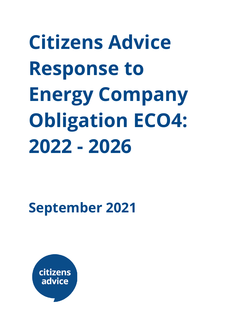**Citizens Advice Response to Energy Company Obligation ECO4: 2022 - 2026**

**September 2021**

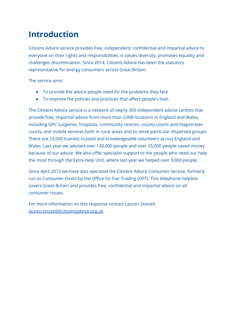# **Introduction**

Citizens Advice service provides free, independent, confidential and impartial advice to everyone on their rights and responsibilities. It values diversity, promotes equality and challenges discrimination. Since 2014, Citizens Advice has been the statutory representative for energy consumers across Great Britain.

The service aims:

- To provide the advice people need for the problems they face
- To improve the policies and practices that affect people's lives.

The Citizens Advice service is a network of nearly 300 independent advice centres that provide free, impartial advice from more than 2,900 locations in England and Wales, including GPs' surgeries, hospitals, community centres, county courts and magistrates courts, and mobile services both in rural areas and to serve particular dispersed groups. There are 23,000 trained, trusted and knowledgeable volunteers across England and Wales. Last year we advised over 130,000 people and over 25,000 people saved money because of our advice. We also offer specialist support to the people who need our help the most through the Extra Help Unit, where last year we helped over 9,000 people.

Since April 2012 we have also operated the Citizens Advice Consumer Service, formerly run as Consumer Direct by the Office for Fair Trading (OFT). This telephone helpline covers Great Britain and provides free, confidential and impartial advice on all consumer issues.

For more information on this response contact Lauren Snoxell, [lauren.snoxell@citizensadvice.org.uk](mailto:lauren.snoxell@citizensadvice.org.uk)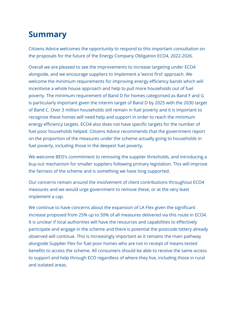# **Summary**

Citizens Advice welcomes the opportunity to respond to this important consultation on the proposals for the future of the Energy Company Obligation ECO4, 2022-2026.

Overall we are pleased to see the improvements to increase targeting under ECO4 alongside, and we encourage suppliers to implement a 'worst first' approach. We welcome the minimum requirements for improving energy efficiency bands which will incentivise a whole house approach and help to pull more households out of fuel poverty. The minimum requirement of Band D for homes categorised as Band F and G is particularly important given the interim target of Band D by 2025 with the 2030 target of Band C. Over 3 million households still remain in fuel poverty and it is important to recognise these homes will need help and support in order to reach the minimum energy efficiency targets. ECO4 also does not have specific targets for the number of fuel poor households helped. Citizens Advice recommends that the government report on the proportion of the measures under the scheme actually going to households in fuel poverty, including those in the deepest fuel poverty.

We welcome BEIS's commitment to removing the supplier thresholds, and introducing a buy-out mechanism for smaller suppliers following primary legislation. This will improve the fairness of the scheme and is something we have long supported.

Our concerns remain around the involvement of client contributions throughout ECO4 measures and we would urge government to remove these, or at the very least implement a cap.

We continue to have concerns about the expansion of LA Flex given the significant increase proposed from 25% up to 50% of all measures delivered via this route in ECO4. It is unclear if local authorities will have the resources and capabilities to effectively participate and engage in the scheme and there is potential the postcode lottery already observed will continue. This is increasingly important as it remains the main pathway alongside Supplier Flex for fuel poor homes who are not in receipt of means-tested benefits to access the scheme. All consumers should be able to receive the same access to support and help through ECO regardless of where they live, including those in rural and isolated areas.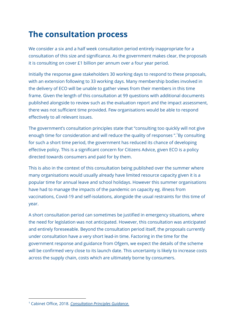# **The consultation process**

We consider a six and a half week consultation period entirely inappropriate for a consultation of this size and significance. As the government makes clear, the proposals it is consulting on cover £1 billion per annum over a four year period.

Initially the response gave stakeholders 30 working days to respond to these proposals, with an extension following to 33 working days. Many membership bodies involved in the delivery of ECO will be unable to gather views from their members in this time frame. Given the length of this consultation at 99 questions with additional documents published alongside to review such as the evaluation report and the impact assessment, there was not sufficient time provided. Few organisations would be able to respond effectively to all relevant issues.

The government's consultation principles state that "consulting too quickly will not give enough time for consideration and will reduce the quality of responses ". <sup>1</sup>By consulting for such a short time period, the government has reduced its chance of developing effective policy. This is a significant concern for Citizens Advice, given ECO is a policy directed towards consumers and paid for by them.

This is also in the context of this consultation being published over the summer where many organisations would usually already have limited resource capacity given it is a popular time for annual leave and school holidays. However this summer organisations have had to manage the impacts of the pandemic on capacity eg. illness from vaccinations, Covid-19 and self-isolations, alongside the usual restraints for this time of year.

A short consultation period can sometimes be justified in emergency situations, where the need for legislation was not anticipated. However, this consultation was anticipated and entirely foreseeable. Beyond the consultation period itself, the proposals currently under consultation have a very short lead-in time. Factoring in the time for the government response and guidance from Ofgem, we expect the details of the scheme will be confirmed very close to its launch date. This uncertainty is likely to increase costs across the supply chain, costs which are ultimately borne by consumers.

<sup>1</sup> Cabinet Office, 2018. *[Consultation](https://www.gov.uk/government/publications/consultation-principles-guidance) Principles Guidance.*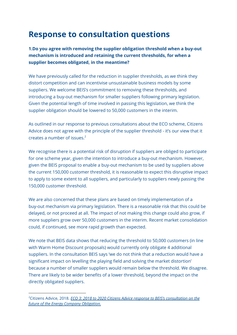# **Response to consultation questions**

**1.Do you agree with removing the supplier obligation threshold when a buy-out mechanism is introduced and retaining the current thresholds, for when a supplier becomes obligated, in the meantime?**

We have previously called for the reduction in supplier thresholds, as we think they distort competition and can incentivise unsustainable business models by some suppliers. We welcome BEIS's commitment to removing these thresholds, and introducing a buy-out mechanism for smaller suppliers following primary legislation. Given the potential length of time involved in passing this legislation, we think the supplier obligation should be lowered to 50,000 customers in the interim.

As outlined in our response to previous consultations about the ECO scheme, Citizens Advice does not agree with the principle of the supplier threshold - it's our view that it creates a number of issues. 2

We recognise there is a potential risk of disruption if suppliers are obliged to participate for one scheme year, given the intention to introduce a buy-out mechanism. However, given the BEIS proposal to enable a buy-out mechanism to be used by suppliers above the current 150,000 customer threshold, it is reasonable to expect this disruptive impact to apply to some extent to all suppliers, and particularly to suppliers newly passing the 150,000 customer threshold.

We are also concerned that these plans are based on timely implementation of a buy-out mechanism via primary legislation. There is a reasonable risk that this could be delayed, or not proceed at all. The impact of not making this change could also grow, if more suppliers grow over 50,000 customers in the interim. Recent market consolidation could, if continued, see more rapid growth than expected.

We note that BEIS data shows that reducing the threshold to 50,000 customers (in line with Warm Home Discount proposals) would currently only obligate 4 additional suppliers. In the consultation BEIS says 'we do not think that a reduction would have a significant impact on levelling the playing field and solving the market distortion' because a number of smaller suppliers would remain below the threshold. We disagree. There are likely to be wider benefits of a lower threshold, beyond the impact on the directly obligated suppliers.

<sup>2</sup>Citizens Advice, 2018. *ECO 3: 2018 to 2020 Citizens Advice response to BEIS's [consultation](https://www.citizensadvice.org.uk/Global/CitizensAdvice/Energy/Energy%20Consultation%20responses/ECO%202018-2022%20consultation%20-%20Citizens%20Advice%20response.pdf) on the future of the Energy Company [Obligation.](https://www.citizensadvice.org.uk/Global/CitizensAdvice/Energy/Energy%20Consultation%20responses/ECO%202018-2022%20consultation%20-%20Citizens%20Advice%20response.pdf)*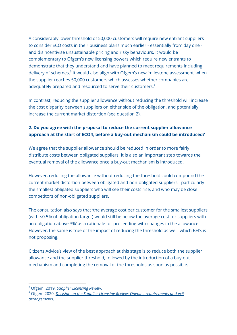A considerably lower threshold of 50,000 customers will require new entrant suppliers to consider ECO costs in their business plans much earlier - essentially from day one and disincentivise unsustainable pricing and risky behaviours. It would be complementary to Ofgem's new licensing powers which require new entrants to demonstrate that they understand and have planned to meet requirements including delivery of schemes.<sup>3</sup> It would also align with Ofgem's new 'milestone assessment' when the supplier reaches 50,000 customers which assesses whether companies are adequately prepared and resourced to serve their customers. 4

In contrast, reducing the supplier allowance without reducing the threshold will increase the cost disparity between suppliers on either side of the obligation, and potentially increase the current market distortion (see question 2).

# **2. Do you agree with the proposal to reduce the current supplier allowance approach at the start of ECO4, before a buy-out mechanism could be introduced?**

We agree that the supplier allowance should be reduced in order to more fairly distribute costs between obligated suppliers. It is also an important step towards the eventual removal of the allowance once a buy-out mechanism is introduced.

However, reducing the allowance without reducing the threshold could compound the current market distortion between obligated and non-obligated suppliers - particularly the smallest obligated suppliers who will see their costs rise, and who may be close competitors of non-obligated suppliers.

The consultation also says that 'the average cost per customer for the smallest suppliers (with <0.5% of obligation target) would still be below the average cost for suppliers with an obligation above 3%' as a rationale for proceeding with changes in the allowance. However, the same is true of the impact of reducing the threshold as well, which BEIS is not proposing.

Citizens Advice's view of the best approach at this stage is to reduce both the supplier allowance and the supplier threshold, followed by the introduction of a buy-out mechanism and completing the removal of the thresholds as soon as possible.

<sup>3</sup> Ofgem, 2019. *Supplier [Licensing](https://www.ofgem.gov.uk/publications/supplier-licensing-review-final-proposals-entry-requirements) Review.*

<sup>4</sup> Ofgem 2020. *Decision on the Supplier Licensing Review: Ongoing [requirements](https://www.ofgem.gov.uk/publications/decision-supplier-licensing-review-ongoing-requirements-and-exit-arrangements) and exit [arrangements](https://www.ofgem.gov.uk/publications/decision-supplier-licensing-review-ongoing-requirements-and-exit-arrangements).*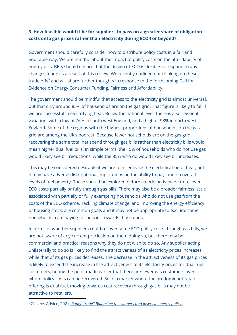#### **3. How feasible would it be for suppliers to pass on a greater share of obligation costs onto gas prices rather than electricity during ECO4 or beyond?**

Government should carefully consider how to distribute policy costs in a fair and equitable way. We are mindful about the impact of policy costs on the affordability of energy bills. BEIS should ensure that the design of ECO is flexible to respond to any changes made as a result of this review. We recently outlined our thinking on these trade offs <sup>5</sup> and will share further thoughts in response to the forthcoming Call for Evidence on Energy Consumer Funding, Fairness and Affordability.

The government should be mindful that access to the electricity grid is almost universal, but that only around 85% of households are on the gas grid. That figure is likely to fall if we are successful in electrifying heat. Below the national level, there is also regional variation, with a low of 76% in south west England, and a high of 93% in north west England. Some of the regions with the highest proportions of households on the gas grid are among the UK's poorest. Because fewer households are on the gas grid, recovering the same total net spend through gas bills rather than electricity bills would mean higher dual fuel bills. In simple terms, the 15% of households who do not use gas would likely see bill reductions, while the 85% who do would likely see bill increases.

This may be considered desirable if we are to incentivise the electrification of heat, but it may have adverse distributional implications on the ability to pay, and on overall levels of fuel poverty. These should be explored before a decision is made to recover ECO costs partially or fully through gas bills. There may also be a broader fairness issue associated with partially or fully exempting households who do not use gas from the costs of the ECO scheme. Tackling climate change, and improving the energy efficiency of housing stock, are common goals and it may not be appropriate to exclude some households from paying for policies towards those ends.

In terms of whether suppliers could recover some ECO policy costs through gas bills, we are not aware of any current preclusion on them doing so, but there may be commercial and practical reasons why they do not wish to do so. Any supplier acting unilaterally to do so is likely to find the attractiveness of its electricity prices increases, while that of its gas prices decreases. The decrease in the attractiveness of its gas prices is likely to exceed the increase in the attractiveness of its electricity prices for dual fuel customers, noting the point made earlier that there are fewer gas customers over whom policy costs can be recovered. So in a market where the predominant retail offering is dual fuel, moving towards cost recovery through gas bills may not be attractive to retailers.

<sup>5</sup> Citizens Advice, 2021. *Rough trade? [Balancing](https://www.citizensadvice.org.uk/about-us/our-work/policy/policy-research-topics/energy-policy-research-and-consultation-responses/energy-policy-research/rough-trade-balancing-the-winners-and-losers-in-energy-policy/) the winners and losers in energy policy.*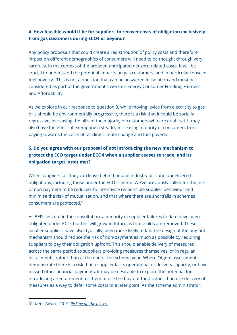# **4. How feasible would it be for suppliers to recover costs of obligation exclusively from gas customers during ECO4 or beyond?**

Any policy proposals that could create a redistribution of policy costs and therefore impact on different demographics of consumers will need to be thought through very carefully, in the context of the broader, anticipated net zero related costs. It will be crucial to understand the potential impacts on gas customers, and in particular those in fuel poverty. This is not a question that can be answered in isolation and must be considered as part of the government's work on Energy Consumer Funding, Fairness and Affordability.

As we explore in our response to question 3, while moving levies from electricity to gas bills should be environmentally progressive, there is a risk that it could be socially regressive, increasing the bills of the majority of customers who are dual fuel. It may also have the effect of exempting a steadily increasing minority of consumers from paying towards the costs of tackling climate change and fuel poverty.

# **5. Do you agree with our proposal of not introducing the new mechanism to protect the ECO target under ECO4 when a supplier ceases to trade, and its obligation target is not met?**

When suppliers fail, they can leave behind unpaid industry bills and undelivered obligations, including those under the ECO scheme. We've previously called for the risk of non-payment to be reduced, to incentivise responsible supplier behaviour and minimise the risk of mutualisation, and that where there are shortfalls in schemes consumers are protected. 6

As BEIS sets out in the consultation, a minority of supplier failures to date have been obligated under ECO, but this will grow in future as thresholds are removed. These smaller suppliers have also, typically, been more likely to fail. The design of the buy-out mechanism should reduce the risk of non-payment as much as possible by requiring suppliers to pay their obligation upfront. This should enable delivery of measures across the same period as suppliers providing measures themselves, or in regular installments, rather than at the end of the scheme year. Where Ofgem assessments demonstrate there is a risk that a supplier lacks operational or delivery capacity, or have missed other financial payments, it may be desirable to explore the potential for introducing a requirement for them to use the buy-out fund rather than use delivery of measures as a way to defer some costs to a later point. As the scheme administrator,

<sup>6</sup>Citizens Advice, 2019. *[Picking](https://www.citizensadvice.org.uk/about-us/our-work/policy/policy-research-topics/energy-policy-research-and-consultation-responses/energy-policy-research/picking-up-the-pieces/) up the pieces.*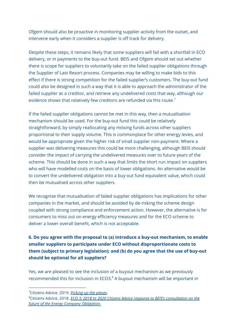Ofgem should also be proactive in monitoring supplier activity from the outset, and intervene early when it considers a supplier is off track for delivery.

Despite these steps, it remains likely that some suppliers will fail with a shortfall in ECO delivery, or in payments to the buy-out fund. BEIS and Ofgem should set out whether there is scope for suppliers to voluntarily take on the failed supplier obligations through the Supplier of Last Resort process. Companies may be willing to make bids to this effect if there is strong competition for the failed supplier's customers. The buy-out fund could also be designed in such a way that it is able to approach the administrator of the failed supplier as a creditor, and retrieve any undelivered costs that way, although our evidence shows that relatively few creditors are refunded via this route. $^7$ 

If the failed supplier obligations cannot be met in this way, then a mutualisation mechanism should be used. For the buy-out fund this could be relatively straightforward, by simply reallocating any missing funds across other suppliers proportional to their supply volume. This is commonplace for other energy levies, and would be appropriate given the higher risk of small supplier non-payment. Where a supplier was delivering measures this could be more challenging, although BEIS should consider the impact of carrying the undelivered measures over to future years of the scheme. This should be done in such a way that limits the short run impact on suppliers who will have modelled costs on the basis of lower obligations. An alternative would be to convert the undelivered obligation into a buy-out fund equivalent value, which could then be mutualised across other suppliers.

We recognise that mutualisation of failed supplier obligations has implications for other companies in the market, and should be avoided by de-risking the scheme design coupled with strong compliance and enforcement action. However, the alternative is for consumers to miss out on energy efficiency measures and for the ECO scheme to deliver a lower overall benefit, which is not acceptable.

# **6. Do you agree with the proposal to (a) introduce a buy-out mechanism, to enable smaller suppliers to participate under ECO without disproportionate costs to them (subject to primary legislation); and (b) do you agree that the use of buy-out should be optional for all suppliers?**

Yes, we are pleased to see the inclusion of a buyout mechanism as we previously recommended this for inclusion in ECO3. <sup>8</sup> A buyout mechanism will be important in

<sup>7</sup>Citizens Advice, 2019. *[Picking](https://www.citizensadvice.org.uk/about-us/our-work/policy/policy-research-topics/energy-policy-research-and-consultation-responses/energy-policy-research/picking-up-the-pieces/) up the pieces*.

<sup>8</sup>Citizens Advice, 2018. *ECO 3: 2018 to 2020 Citizens Advice response to BEIS's [consultation](https://www.citizensadvice.org.uk/Global/CitizensAdvice/Energy/Energy%20Consultation%20responses/ECO%202018-2022%20consultation%20-%20Citizens%20Advice%20response.pdf) on the future of the Energy Company [Obligation.](https://www.citizensadvice.org.uk/Global/CitizensAdvice/Energy/Energy%20Consultation%20responses/ECO%202018-2022%20consultation%20-%20Citizens%20Advice%20response.pdf)*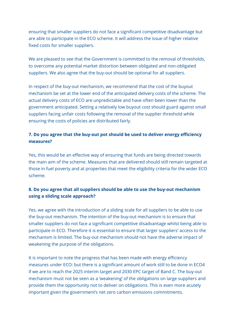ensuring that smaller suppliers do not face a significant competitive disadvantage but are able to participate in the ECO scheme. It will address the issue of higher relative fixed costs for smaller suppliers.

We are pleased to see that the Government is committed to the removal of thresholds, to overcome any potential market distortion between obligated and non-obligated suppliers. We also agree that the buy-out should be optional for all suppliers.

In respect of the buy-out mechanism, we recommend that the cost of the buyout mechanism be set at the lower end of the anticipated delivery costs of the scheme. The actual delivery costs of ECO are unpredictable and have often been lower than the government anticipated. Setting a relatively low buyout cost should guard against small suppliers facing unfair costs following the removal of the supplier threshold while ensuring the costs of policies are distributed fairly.

## **7. Do you agree that the buy-out pot should be used to deliver energy efficiency measures?**

Yes, this would be an effective way of ensuring that funds are being directed towards the main aim of the scheme. Measures that are delivered should still remain targeted at those in fuel poverty and at properties that meet the eligibility criteria for the wider ECO scheme.

# **8. Do you agree that all suppliers should be able to use the buy-out mechanism using a sliding scale approach?**

Yes, we agree with the introduction of a sliding scale for all suppliers to be able to use the buy-out mechanism. The intention of the buy-out mechanism is to ensure that smaller suppliers do not face a significant competitive disadvantage whilst being able to participate in ECO. Therefore it is essential to ensure that larger suppliers' access to the mechanism is limited. The buy-out mechanism should not have the adverse impact of weakening the purpose of the obligations.

It is important to note the progress that has been made with energy efficiency measures under ECO: but there is a significant amount of work still to be done in ECO4 if we are to reach the 2025 interim target and 2030 EPC target of Band C. The buy-out mechanism must not be seen as a 'weakening' of the obligations on large suppliers and provide them the opportunity not to deliver on obligations. This is even more acutely important given the government's net zero carbon emissions commitments.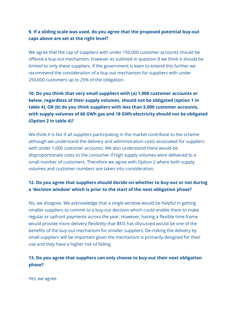#### **9. If a sliding scale was used, do you agree that the proposed potential buy-out caps above are set at the right level?**

We agree that the cap of suppliers with under 150,000 customer accounts should be offered a buy-out mechanism, however as outlined in question 8 we think it should be limited to only these suppliers. If the government is keen to extend this further we recommend the consideration of a buy-out mechanism for suppliers with under 250,000 customers up to 25% of the obligation.

# **10. Do you think that very small suppliers with (a) 1,000 customer accounts or below, regardless of their supply volumes, should not be obligated (option 1 in table 4); OR (b) do you think suppliers with less than 5,000 customer accounts, with supply volumes of 66 GWh gas and 18 GWh electricity should not be obligated (Option 2 in table 4)?**

We think it is fair if all suppliers participating in the market contribute to the scheme although we understand the delivery and administration costs associated for suppliers with under 1,000 customer accounts. We also understand there would be disproportionate costs to the consumer if high supply volumes were delivered to a small number of customers. Therefore we agree with Option 2 where both supply volumes and customer numbers are taken into consideration.

#### **12. Do you agree that suppliers should decide on whether to buy-out or not during a 'decision window' which is prior to the start of the next obligation phase?**

No, we disagree. We acknowledge that a single window would be helpful in getting smaller suppliers to commit to a buy-out decision which could enable them to make regular or upfront payments across the year. However, having a flexible time frame would provide more delivery flexibility that BEIS has discussed would be one of the benefits of the buy-out mechanism for smaller suppliers. De-risking the delivery by small suppliers will be important given the mechanism is primarily designed for their use and they have a higher risk of failing.

#### **13. Do you agree that suppliers can only choose to buy-out their next obligation phase?**

Yes, we agree.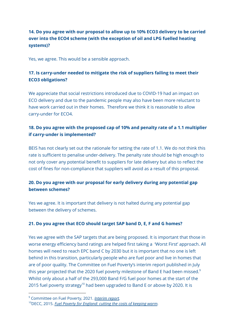# **14. Do you agree with our proposal to allow up to 10% ECO3 delivery to be carried over into the ECO4 scheme (with the exception of oil and LPG fuelled heating systems)?**

Yes, we agree. This would be a sensible approach.

# **17. Is carry-under needed to mitigate the risk of suppliers failing to meet their ECO3 obligations?**

We appreciate that social restrictions introduced due to COVID-19 had an impact on ECO delivery and due to the pandemic people may also have been more reluctant to have work carried out in their homes. Therefore we think it is reasonable to allow carry-under for ECO4.

# **18. Do you agree with the proposed cap of 10% and penalty rate of a 1.1 multiplier if carry-under is implemented?**

BEIS has not clearly set out the rationale for setting the rate of 1.1. We do not think this rate is sufficient to penalise under-delivery. The penalty rate should be high enough to not only cover any potential benefit to suppliers for late delivery but also to reflect the cost of fines for non-compliance that suppliers will avoid as a result of this proposal.

# **20. Do you agree with our proposal for early delivery during any potential gap between schemes?**

Yes we agree. It is important that delivery is not halted during any potential gap between the delivery of schemes.

#### **21. Do you agree that ECO should target SAP band D, E, F and G homes?**

Yes we agree with the SAP targets that are being proposed. It is important that those in worse energy efficiency band ratings are helped first taking a 'Worst First' approach. All homes will need to reach EPC band C by 2030 but it is important that no one is left behind in this transition, particularly people who are fuel poor and live in homes that are of poor quality. The Committee on Fuel Poverty's interim report published in July this year projected that the 2020 fuel poverty milestone of Band E had been missed. $^{\rm 9}$ Whilst only about a half of the 293,000 Band F/G fuel poor homes at the start of the 2015 fuel poverty strategy<sup>10</sup> had been upgraded to Band E or above by 2020. It is

<sup>9</sup> Committee on Fuel Poverty, 2021. *[Interim](https://www.gov.uk/government/publications/committee-on-fuel-poverty-interim-report-july-2021) report.*

<sup>10</sup>DECC, 2015. *Fuel Poverty for [England:](https://www.gov.uk/government/publications/cutting-the-cost-of-keeping-warm) cutting the costs of keeping warm.*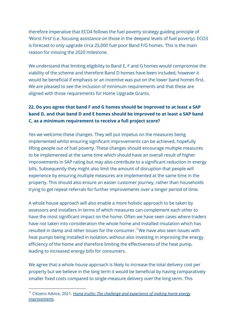therefore imperative that ECO4 follows the fuel poverty strategy guiding principle of 'Worst First' (i.e. focusing assistance on those in the deepest levels of fuel poverty). ECO3 is forecast to only upgrade circa 25,000 fuel poor Band F/G homes. This is the main reason for missing the 2020 milestone.

We understand that limiting eligibility to Band E, F and G homes would compromise the viability of the scheme and therefore Band D homes have been included, however it would be beneficial if emphasis or an incentive was put on the lower band homes first. We are pleased to see the inclusion of minimum requirements and that these are aligned with those requirements for Home Upgrade Grants.

# **22. Do you agree that band F and G homes should be improved to at least a SAP band D, and that band D and E homes should be improved to at least a SAP band C, as a minimum requirement to receive a full project score?**

Yes we welcome these changes. They will put impetus on the measures being implemented whilst ensuring significant improvements can be achieved, hopefully lifting people out of fuel poverty. These changes should encourage multiple measures to be implemented at the same time which should have an overall result of higher improvements in SAP rating but may also contribute to a significant reduction in energy bills. Subsequently they might also limit the amount of disruption that people will experience by ensuring multiple measures are implemented at the same time in the property. This should also ensure an easier customer journey, rather than households trying to get repeat referrals for further improvements over a longer period of time.

A whole house approach will also enable a more holistic approach to be taken by assessors and installers in terms of which measures can complement each other to have the most significant impact on the home. Often we have seen cases where traders have not taken into consideration the whole home and installed insulation which has resulted in damp and other issues for the consumer.<sup>11</sup>We have also seen issues with heat pumps being installed in isolation, without also investing in improving the energy efficiency of the home and therefore limiting the effectiveness of the heat pump, leading to increased energy bills for consumers.

We agree that a whole house approach is likely to increase the total delivery cost per property but we believe in the long term it would be beneficial by having comparatively smaller fixed costs compared to single-measure delivery over the long term. This

<sup>11</sup> Citizens Advice, 2021. *Home truths: The challenge and [experience](https://www.citizensadvice.org.uk/about-us/our-work/policy/policy-research-topics/energy-policy-research-and-consultation-responses/energy-policy-research/home-truths-the-challenge-and-experience-of-making-home-energy-improvements/) of making home energy [improvements](https://www.citizensadvice.org.uk/about-us/our-work/policy/policy-research-topics/energy-policy-research-and-consultation-responses/energy-policy-research/home-truths-the-challenge-and-experience-of-making-home-energy-improvements/).*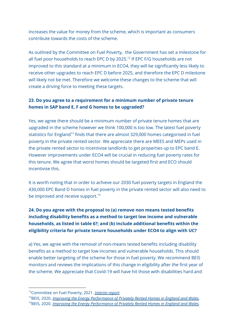increases the value for money from the scheme, which is important as consumers contribute towards the costs of the scheme.

As outlined by the Committee on Fuel Poverty, the Government has set a milestone for all fuel poor households to reach EPC D by 2025.<sup>12</sup> If EPC F/G households are not improved to this standard at a minimum in ECO4, they will be significantly less likely to receive other upgrades to reach EPC D before 2025, and therefore the EPC D milestone will likely not be met. Therefore we welcome these changes to the scheme that will create a driving force to meeting these targets.

#### **23. Do you agree to a requirement for a minimum number of private tenure homes in SAP band E, F and G homes to be upgraded?**

Yes, we agree there should be a minimum number of private tenure homes that are upgraded in the scheme however we think 100,000 is too low. The latest fuel poverty statistics for England<sup>13</sup> finds that there are almost 329,000 homes categorised in fuel poverty in the private rented sector. We appreciate there are MEES and MEPs used in the private rented sector to incentivise landlords to get properties up to EPC band E. However improvements under ECO4 will be crucial in reducing fuel poverty rates for this tenure. We agree that worst homes should be targeted first and ECO should incentivise this.

It is worth noting that in order to achieve our 2030 fuel poverty targets in England the 430,000 EPC Band D homes in fuel poverty in the private rented sector will also need to be improved and receive support.<sup>14</sup>

# **24. Do you agree with the proposal to (a) remove non means tested benefits including disability benefits as a method to target low income and vulnerable households, as listed in table 6?; and (b) include additional benefits within the eligibility criteria for private tenure households under ECO4 to align with UC?**

a) Yes, we agree with the removal of non-means tested benefits including disability benefits as a method to target low incomes and vulnerable households. This should enable better targeting of the scheme for those in fuel poverty. We recommend BEIS monitors and reviews the implications of this change in eligibility after the first year of the scheme. We appreciate that Covid-19 will have hit those with disabilities hard and

<sup>12</sup>Committee on Fuel Poverty, 2021. *[Interim](https://www.gov.uk/government/publications/committee-on-fuel-poverty-interim-report-july-2021) report.*

<sup>13</sup>BEIS, 2020. *Improving the Energy [Performance](https://assets.publishing.service.gov.uk/government/uploads/system/uploads/attachment_data/file/946175/prs-consultation-2020.pdfhttps://assets.publishing.service.gov.uk/government/uploads/system/uploads/attachment_data/file/946175/prs-consultation-2020.pdfh) of Privately Rented Homes in England and Wales.*

<sup>14</sup>BEIS, 2020. *Improving the Energy [Performance](https://assets.publishing.service.gov.uk/government/uploads/system/uploads/attachment_data/file/946175/prs-consultation-2020.pdfhttps://assets.publishing.service.gov.uk/government/uploads/system/uploads/attachment_data/file/946175/prs-consultation-2020.pdfh) of Privately Rented Homes in England and Wales.*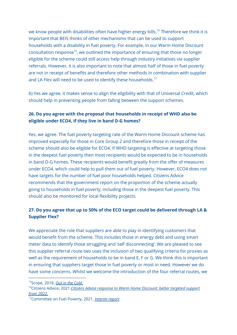we know people with disabilities often have higher energy bills. <sup>15</sup> Therefore we think it is important that BEIS thinks of other mechanisms that can be used to support households with a disability in fuel poverty. For example, in our Warm Home Discount consultation response<sup>16</sup>, we outlined the importance of ensuring that those no longer eligible for the scheme could still access help through industry initiatives via supplier referrals. However, it is also important to note that almost half of those in fuel poverty are not in receipt of benefits and therefore other methods in combination with supplier and LA Flex will need to be used to identify these households. $^{17}$ 

b) Yes we agree, it makes sense to align the eligibility with that of Universal Credit, which should help in preventing people from falling between the support schemes.

#### **26. Do you agree with the proposal that households in receipt of WHD also be eligible under ECO4, if they live in band D-G homes?**

Yes, we agree. The fuel poverty targeting rate of the Warm Home Discount scheme has improved especially for those in Core Group 2 and therefore those in receipt of the scheme should also be eligible for ECO4. If WHD targeting is effective at targeting those in the deepest fuel poverty then most recipients would be expected to be in households in band D-G homes. These recipients would benefit greatly from the offer of measures under ECO4, which could help to pull them out of fuel poverty. However, ECO4 does not have targets for the number of fuel poor households helped. Citizens Advice recommends that the government report on the proportion of the scheme actually going to households in fuel poverty, including those in the deepest fuel poverty. This should also be monitored for local flexibility projects.

#### **27. Do you agree that up to 50% of the ECO target could be delivered through LA & Supplier Flex?**

We appreciate the role that suppliers are able to play in identifying customers that would benefit from the scheme. This includes those in energy debt and using smart meter data to identify those struggling and 'self disconnecting'. We are pleased to see this supplier referral route two uses the inclusion of two qualifying criteria for proxies as well as the requirement of households to be in band E, F or G. We think this is important in ensuring that suppliers target those in fuel poverty or most in need. However we do have some concerns. Whilst we welcome the introduction of the four referral routes, we

<sup>15</sup>Scope, 2018. *Out in the [Cold.](https://www.scope.org.uk/campaigns/extra-costs/out-in-the-cold/)*

<sup>16</sup>Citizens Advice, 2021.*Citizens Advice response to Warm Home [Discount:](https://www.citizensadvice.org.uk/about-us/our-work/policy/policy-research-topics/energy-policy-research-and-consultation-responses/energy-consultation-responses/citizens-advice-response-to-warm-home-discount-better-targeted-support-from-2022/) better targeted support from [2022.](https://www.citizensadvice.org.uk/about-us/our-work/policy/policy-research-topics/energy-policy-research-and-consultation-responses/energy-consultation-responses/citizens-advice-response-to-warm-home-discount-better-targeted-support-from-2022/)*

<sup>17</sup>Committee on Fuel Poverty, 2021. *[Interim](https://www.gov.uk/government/publications/committee-on-fuel-poverty-interim-report-july-2021) report*.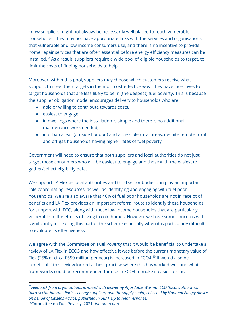know suppliers might not always be necessarily well placed to reach vulnerable households. They may not have appropriate links with the services and organisations that vulnerable and low-income consumers use, and there is no incentive to provide home repair services that are often essential before energy efficiency measures can be installed. <sup>18</sup> As a result, suppliers require a wide pool of eligible households to target, to limit the costs of finding households to help.

Moreover, within this pool, suppliers may choose which customers receive what support, to meet their targets in the most cost-effective way. They have incentives to target households that are less likely to be in (the deepest) fuel poverty. This is because the supplier obligation model encourages delivery to households who are:

- able or willing to contribute towards costs,
- easiest to engage,
- in dwellings where the installation is simple and there is no additional maintenance work needed,
- in urban areas (outside London) and accessible rural areas, despite remote rural and off-gas households having higher rates of fuel poverty.

Government will need to ensure that both suppliers and local authorities do not just target those consumers who will be easiest to engage and those with the easiest to gather/collect eligibility data.

We support LA Flex as local authorities and third sector bodies can play an important role coordinating resources, as well as identifying and engaging with fuel poor households. We are also aware that 46% of fuel poor households are not in receipt of benefits and LA Flex provides an important referral route to identify these households for support with ECO, along with those low income households that are particularly vulnerable to the effects of living in cold homes. However we have some concerns with significantly increasing this part of the scheme especially when it is particularly difficult to evaluate its effectiveness.

We agree with the Committee on Fuel Poverty that it would be beneficial to undertake a review of LA Flex in ECO3 and how effective it was before the current monetary value of Flex (25% of circa £550 million per year) is increased in ECO4.<sup>19</sup> It would also be beneficial if this review looked at best practise where this has worked well and what frameworks could be recommended for use in ECO4 to make it easier for local

<sup>19</sup>Committee on Fuel Poverty, 2021. *[Interim](https://www.gov.uk/government/publications/committee-on-fuel-poverty-interim-report-july-2021) report*. *<sup>18</sup>Feedback from organisations involved with delivering Affordable Warmth ECO (local authorities, third-sector intermediaries, energy suppliers, and the supply chain) collected by National Energy Advice on behalf of Citizens Advice, published in our Help to Heat response.*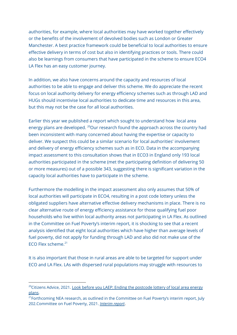authorities, for example, where local authorities may have worked together effectively or the benefits of the involvement of devolved bodies such as London or Greater Manchester. A best practice framework could be beneficial to local authorities to ensure effective delivery in terms of cost but also in identifying practices or tools. There could also be learnings from consumers that have participated in the scheme to ensure ECO4 LA Flex has an easy customer journey.

In addition, we also have concerns around the capacity and resources of local authorities to be able to engage and deliver this scheme. We do appreciate the recent focus on local authority delivery for energy efficiency schemes such as through LAD and HUGs should incentivise local authorities to dedicate time and resources in this area, but this may not be the case for all local authorities.

Earlier this year we published a report which sought to understand how local area energy plans are developed. <sup>20</sup>Our research found the approach across the country had been inconsistent with many concerned about having the expertise or capacity to deliver. We suspect this could be a similar scenario for local authorities' involvement and delivery of energy efficiency schemes such as in ECO. Data in the accompanying impact assessment to this consultation shows that in ECO3 in England only 193 local authorities participated in the scheme (met the participating definition of delivering 50 or more measures) out of a possible 343, suggesting there is significant variation in the capacity local authorities have to participate in the scheme.

Furthermore the modelling in the impact assessment also only assumes that 50% of local authorities will participate in ECO4, resulting in a post code lottery unless the obligated suppliers have alternative effective delivery mechanisms in place. There is no clear alternative route of energy efficiency assistance for those qualifying fuel poor households who live within local authority areas not participating in LA Flex. As outlined in the Committee on Fuel Poverty's interim report, it is shocking to see that a recent analysis identified that eight local authorities which have higher than average levels of fuel poverty, did not apply for funding through LAD and also did not make use of the ECO Flex scheme. 21

It is also important that those in rural areas are able to be targeted for support under ECO and LA Flex. LAs with dispersed rural populations may struggle with resources to

<sup>&</sup>lt;sup>20</sup>Citizens Advice, 2021. Look before you LAEP: Ending the [postcode](https://www.citizensadvice.org.uk/about-us/our-work/policy/policy-research-topics/energy-policy-research-and-consultation-responses/energy-policy-research/look-before-you-laep-ending-the-postcode-lottery-of-local-area-energy-plans/) lottery of local area energy [plans](https://www.citizensadvice.org.uk/about-us/our-work/policy/policy-research-topics/energy-policy-research-and-consultation-responses/energy-policy-research/look-before-you-laep-ending-the-postcode-lottery-of-local-area-energy-plans/).

<sup>&</sup>lt;sup>21</sup> Forthcoming NEA research, as outlined in the Committee on Fuel Poverty's interim report, July 202.Committee on Fuel Poverty, 2021. *[Interim](https://www.gov.uk/government/publications/committee-on-fuel-poverty-interim-report-july-2021) report*.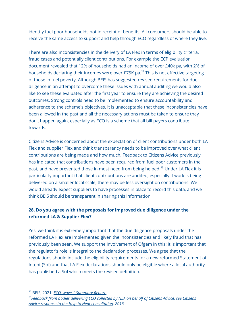identify fuel poor households not in receipt of benefits. All consumers should be able to receive the same access to support and help through ECO regardless of where they live.

There are also inconsistencies in the delivery of LA Flex in terms of eligibility criteria, fraud cases and potentially client contributions. For example the ECP evaluation document revealed that 12% of households had an income of over £40k pa, with 2% of households declaring their incomes were over £75K pa. $^{22}$  This is not effective targeting of those in fuel poverty. Although BEIS has suggested revised requirements for due diligence in an attempt to overcome these issues with annual auditing we would also like to see these evaluated after the first year to ensure they are achieving the desired outcomes. Strong controls need to be implemented to ensure accountability and adherence to the scheme's objectives. It is unacceptable that these inconsistencies have been allowed in the past and all the necessary actions must be taken to ensure they don't happen again, especially as ECO is a scheme that all bill payers contribute towards.

Citizens Advice is concerned about the expectation of client contributions under both LA Flex and supplier Flex and think transparency needs to be improved over what client contributions are being made and how much. Feedback to Citizens Advice previously has indicated that contributions have been required from fuel poor customers in the past, and have prevented those in most need from being helped.<sup>23</sup> Under LA Flex it is particularly important that client contributions are audited, especially if work is being delivered on a smaller local scale, there may be less oversight on contributions. We would already expect suppliers to have processes in place to record this data, and we think BEIS should be transparent in sharing this information.

#### **28. Do you agree with the proposals for improved due diligence under the reformed LA & Supplier Flex?**

Yes, we think it is extremely important that the due diligence proposals under the reformed LA Flex are implemented given the inconsistencies and likely fraud that has previously been seen. We support the involvement of Ofgem in this: it is important that the regulator's role is integral to the declaration processes. We agree that the regulations should include the eligibility requirements for a new reformed Statement of Intent (SoI) and that LA Flex declarations should only be eligible where a local authority has published a SoI which meets the revised definition.

<sup>22</sup> BEIS, 2021. *ECO, wave 1 [Summary](https://assets.publishing.service.gov.uk/government/uploads/system/uploads/attachment_data/file/1003872/eco-wave-1-summary-report.pdf) Report.*

*<sup>23</sup>Feedback from bodies delivering ECO collected by NEA on behalf of Citizens Advice, see Citizens Advice response to the Help to Heat consultation, 2016.*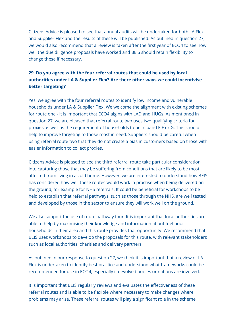Citizens Advice is pleased to see that annual audits will be undertaken for both LA Flex and Supplier Flex and the results of these will be published. As outlined in question 27, we would also recommend that a review is taken after the first year of ECO4 to see how well the due diligence proposals have worked and BEIS should retain flexibility to change these if necessary.

# **29. Do you agree with the four referral routes that could be used by local authorities under LA & Supplier Flex? Are there other ways we could incentivise better targeting?**

Yes, we agree with the four referral routes to identify low income and vulnerable households under LA & Supplier Flex. We welcome the alignment with existing schemes for route one - it is important that ECO4 algins with LAD and HUGs. As mentioned in question 27, we are pleased that referral route two uses two qualifying criteria for proxies as well as the requirement of households to be in band E,F or G. This should help to improve targeting to those most in need. Suppliers should be careful when using referral route two that they do not create a bias in customers based on those with easier information to collect proxies.

Citizens Advice is pleased to see the third referral route take particular consideration into capturing those that may be suffering from conditions that are likely to be most affected from living in a cold home. However, we are interested to understand how BEIS has considered how well these routes would work in practise when being delivered on the ground, for example for NHS referrals. It could be beneficial for workshops to be held to establish that referral pathways, such as those through the NHS, are well tested and developed by those in the sector to ensure they will work well on the ground.

We also support the use of route pathway four. It is important that local authorities are able to help by maximising their knowledge and information about fuel poor households in their area and this route provides that opportunity. We recommend that BEIS uses workshops to develop the proposals for this route, with relevant stakeholders such as local authorities, charities and delivery partners.

As outlined in our response to question 27, we think it is important that a review of LA Flex is undertaken to identify best practice and understand what frameworks could be recommended for use in ECO4, especially if devolved bodies or nations are involved.

It is important that BEIS regularly reviews and evaluates the effectiveness of these referral routes and is able to be flexible where necessary to make changes where problems may arise. These referral routes will play a significant role in the scheme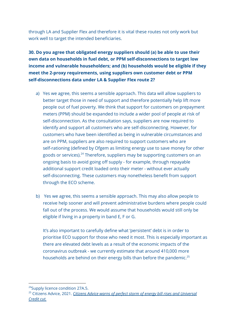through LA and Supplier Flex and therefore it is vital these routes not only work but work well to target the intended beneficiaries.

**30. Do you agree that obligated energy suppliers should (a) be able to use their own data on households in fuel debt, or PPM self-disconnections to target low income and vulnerable householders; and (b) households would be eligible if they meet the 2-proxy requirements, using suppliers own customer debt or PPM self-disconnections data under LA & Supplier Flex route 2?**

- a) Yes we agree, this seems a sensible approach. This data will allow suppliers to better target those in need of support and therefore potentially help lift more people out of fuel poverty. We think that support for customers on prepayment meters (PPM) should be expanded to include a wider pool of people at risk of self-disconnection. As the consultation says, suppliers are now required to identify and support all customers who are self-disconnecting. However, for customers who have been identified as being in vulnerable circumstances and are on PPM, suppliers are also required to support customers who are self-rationing (defined by Ofgem as limiting energy use to save money for other goods or services).<sup>24</sup> Therefore, suppliers may be supporting customers on an ongoing basis to avoid going off supply - for example, through repayable additional support credit loaded onto their meter - without ever actually self-disconnecting. These customers may nonetheless benefit from support through the ECO scheme.
- b) Yes we agree, this seems a sensible approach. This may also allow people to receive help sooner and will prevent administrative burdens where people could fall out of the process. We would assume that households would still only be eligible if living in a property in band E, F or G.

It's also important to carefully define what 'persistent' debt is in order to prioritise ECO support for those who need it most. This is especially important as there are elevated debt levels as a result of the economic impacts of the coronavirus outbreak - we currently estimate that around 410,000 more households are behind on their energy bills than before the pandemic.<sup>25</sup>

<sup>&</sup>lt;sup>24</sup>Supply licence condition 27A.5.

<sup>25</sup> Citizens Advice, 2021. *Citizens Advice warns of perfect storm of energy bill rises and [Universal](https://www.citizensadvice.org.uk/about-us/about-us1/media/press-releases/citizens-advice-warns-of-perfect-storm-of-energy-bill-rises-and-universal-credit-cut) [Credit](https://www.citizensadvice.org.uk/about-us/about-us1/media/press-releases/citizens-advice-warns-of-perfect-storm-of-energy-bill-rises-and-universal-credit-cut) cut.*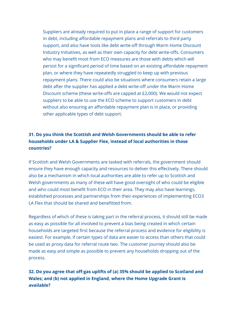Suppliers are already required to put in place a range of support for customers in debt, including affordable repayment plans and referrals to third party support, and also have tools like debt write-off through Warm Home Discount Industry Initiatives, as well as their own capacity for debt write-offs. Consumers who may benefit most from ECO measures are those with debts which will persist for a significant period of time based on an existing affordable repayment plan, or where they have repeatedly struggled to keep up with previous repayment plans. There could also be situations where consumers retain a large debt after the supplier has applied a debt write-off under the Warm Home Discount scheme (these write-offs are capped at £2,000). We would not expect suppliers to be able to use the ECO scheme to support customers in debt without also ensuring an affordable repayment plan is in place, or providing other applicable types of debt support.

# **31. Do you think the Scottish and Welsh Governments should be able to refer households under LA & Supplier Flex, instead of local authorities in those countries?**

If Scottish and Welsh Governments are tasked with referrals, the government should ensure they have enough capacity and resources to deliver this effectively. There should also be a mechanism in which local authorities are able to refer up to Scottish and Welsh governments as many of these will have good oversight of who could be eligible and who could most benefit from ECO in their area. They may also have learnings, established processes and partnerships from their experiences of implementing ECO3 LA Flex that should be shared and benefitted from.

Regardless of which of these is taking part in the referral process, it should still be made as easy as possible for all involved to prevent a bias being created in which certain households are targeted first because the referral process and evidence for eligibility is easiest. For example, if certain types of data are easier to access than others that could be used as proxy data for referral route two. The customer journey should also be made as easy and simple as possible to prevent any households dropping out of the process.

# **32. Do you agree that off-gas uplifts of (a) 35% should be applied to Scotland and Wales; and (b) not applied in England, where the Home Upgrade Grant is available?**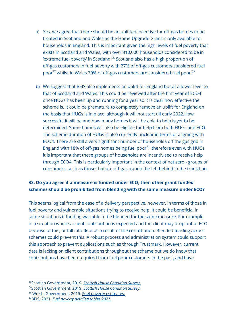- a) Yes, we agree that there should be an uplifted incentive for off-gas homes to be treated in Scotland and Wales as the Home Upgrade Grant is only available to households in England. This is important given the high levels of fuel poverty that exists in Scotland and Wales, with over 310,000 households considered to be in 'extreme fuel poverty' in Scotland.<sup>26</sup> Scotland also has a high proportion of off-gas customers in fuel poverty with 27% of off-gas customers considered fuel poor $^{27}$  whilst in Wales 39% of off-gas customers are considered fuel poor. $^{28}$
- b) We suggest that BEIS also implements an uplift for England but at a lower level to that of Scotland and Wales. This could be reviewed after the first year of ECO4 once HUGs has been up and running for a year so it is clear how effective the scheme is. It could be premature to completely remove an uplift for England on the basis that HUGs is in place, although it will not start till early 2022.How successful it will be and how many homes it will be able to help is yet to be determined. Some homes will also be eligible for help from both HUGs and ECO. The scheme duration of HUGs is also currently unclear in terms of aligning with ECO4. There are still a very significant number of households off the gas grid in England with 18% of off-gas homes being fuel poor<sup>29</sup>, therefore even with HUGs it is important that these groups of households are incentivised to receive help through ECO4. This is particularly important in the context of net zero - groups of consumers, such as those that are off-gas, cannot be left behind in the transition.

#### **33. Do you agree if a measure is funded under ECO, then other grant funded schemes should be prohibited from blending with the same measure under ECO?**

This seems logical from the ease of a delivery perspective, however, in terms of those in fuel poverty and vulnerable situations trying to receive help, it could be beneficial in some situations if funding was able to be blended for the same measure. For example in a situation where a client contribution is expected and the client may drop out of ECO because of this, or fall into debt as a result of the contribution. Blended funding across schemes could prevent this. A robust process and administration system could support this approach to prevent duplications such as through Trustmark. However, current data is lacking on client contributions throughout the scheme but we do know that contributions have been required from fuel poor customers in the past, and have

<sup>26</sup>Scottish Government, 2019. *Scottish House [Condition](https://www.gov.scot/collections/scottish-house-condition-survey/) Survey.*

<sup>27</sup>Scottish Government, 2019. *Scottish House [Condition](https://www.gov.scot/collections/scottish-house-condition-survey/) Survey.*

<sup>&</sup>lt;sup>28</sup> Welsh, Government, 2019. Fuel poverty [estimates.](https://gov.wales/sites/default/files/statistics-and-research/2019-12/fuel-poverty-estimates-wales-2018.pdf)

<sup>29</sup>BEIS, 2021. *Fuel poverty [detailed](https://www.gov.uk/government/statistics/fuel-poverty-detailed-tables-2021) tables 2021.*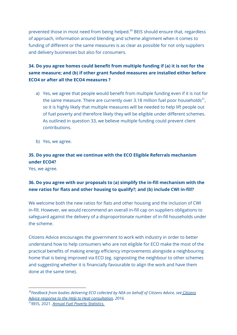prevented those in most need from being helped.<sup>30</sup> BEIS should ensure that, regardless of approach, information around blending and scheme alignment when it comes to funding of different or the same measures is as clear as possible for not only suppliers and delivery businesses but also for consumers.

# **34. Do you agree homes could benefit from multiple funding if (a) it is not for the same measure; and (b) if other grant funded measures are installed either before ECO4 or after all the ECO4 measures ?**

- a) Yes, we agree that people would benefit from multiple funding even if it is not for the same measure. There are currently over 3.18 million fuel poor households $^{31}$ , so it is highly likely that multiple measures will be needed to help lift people out of fuel poverty and therefore likely they will be eligible under different schemes. As outlined in question 33, we believe multiple funding could prevent client contributions.
- b) Yes, we agree.

# **35. Do you agree that we continue with the ECO Eligible Referrals mechanism under ECO4?**

Yes, we agree.

# **36. Do you agree with our proposals to (a) simplify the in-fill mechanism with the new ratios for flats and other housing to qualify?; and (b) include CWI in-fill?**

We welcome both the new ratios for flats and other housing and the inclusion of CWI in-fill. However, we would recommend an overall in-fill cap on suppliers obligations to safeguard against the delivery of a disproportionate number of in-fill households under the scheme.

Citizens Advice encourages the government to work with industry in order to better understand how to help consumers who are not eligible for ECO make the most of the practical benefits of making energy efficiency improvements alongside a neighbouring home that is being improved via ECO (eg. signposting the neighbour to other schemes and suggesting whether it is financially favourable to align the work and have them done at the same time).

*<sup>30</sup>Feedback from bodies delivering ECO collected by NEA on behalf of Citizens Advice, see Citizens Advice response to the Help to Heat consultation, 2016.*

<sup>31</sup>BEIS, 2021. *Annual Fuel Poverty [Statistics.](https://assets.publishing.service.gov.uk/government/uploads/system/uploads/attachment_data/file/966509/Annual_Fuel_Poverty_Statistics_LILEE_Report_2021__2019_data_.pdf)*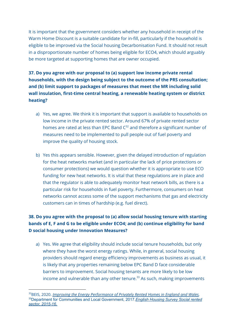It is important that the government considers whether any household in receipt of the Warm Home Discount is a suitable candidate for in-fill, particularly if the household is eligible to be improved via the Social housing Decarbonisation Fund. It should not result in a disproportionate number of homes being eligible for ECO4, which should arguably be more targeted at supporting homes that are owner occupied.

# **37. Do you agree with our proposal to (a) support low income private rental households, with the design being subject to the outcome of the PRS consultation; and (b) limit support to packages of measures that meet the MR including solid wall insulation, first-time central heating, a renewable heating system or district heating?**

- a) Yes, we agree. We think it is important that support is available to households on low income in the private rented sector. Around 67% of private rented sector homes are rated at less than EPC Band  $C^{32}$  and therefore a significant number of measures need to be implemented to pull people out of fuel poverty and improve the quality of housing stock.
- b) Yes this appears sensible. However, given the delayed introduction of regulation for the heat networks market (and in particular the lack of price protections or consumer protections) we would question whether it is appropriate to use ECO funding for new heat networks. It is vital that these regulations are in place and that the regulator is able to adequately monitor heat network bills, as there is a particular risk for households in fuel poverty. Furthermore, consumers on heat networks cannot access some of the support mechanisms that gas and electricity customers can in times of hardship (e.g. fuel direct).

# **38. Do you agree with the proposal to (a) allow social housing tenure with starting bands of E, F and G to be eligible under ECO4; and (b) continue eligibility for band D social housing under Innovation Measures?**

a) Yes. We agree that eligibility should include social tenure households, but only where they have the worst energy ratings. While, in general, social housing providers should regard energy efficiency improvements as business as usual, it is likely that any properties remaining below EPC Band D face considerable barriers to improvement. Social housing tenants are more likely to be low income and vulnerable than any other tenure. <sup>33</sup> As such, making improvements

<sup>33</sup>Department for Communities and Local Government, 2017.*English Housing Survey Social rented sector, 2015-16.* <sup>32</sup>BEIS, 2020. *Improving the Energy [Performance](https://assets.publishing.service.gov.uk/government/uploads/system/uploads/attachment_data/file/946175/prs-consultation-2020.pdfhttps://assets.publishing.service.gov.uk/government/uploads/system/uploads/attachment_data/file/946175/prs-consultation-2020.pdfh) of Privately Rented Homes in England and Wales.*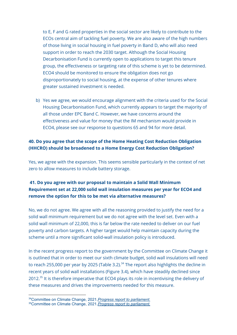to E, F and G rated properties in the social sector are likely to contribute to the ECOs central aim of tackling fuel poverty. We are also aware of the high numbers of those living in social housing in fuel poverty in Band D, who will also need support in order to reach the 2030 target. Although the Social Housing Decarbonisation Fund is currently open to applications to target this tenure group, the effectiveness or targeting rate of this scheme is yet to be determined. ECO4 should be monitored to ensure the obligation does not go disproportionately to social housing, at the expense of other tenures where greater sustained investment is needed.

b) Yes we agree, we would encourage alignment with the criteria used for the Social Housing Decarbonisation Fund, which currently appears to target the majority of all those under EPC Band C. However, we have concerns around the effectiveness and value for money that the IM mechanism would provide in ECO4, please see our response to questions 65 and 94 for more detail.

#### **40. Do you agree that the scope of the Home Heating Cost Reduction Obligation (HHCRO) should be broadened to a Home Energy Cost Reduction Obligation?**

Yes, we agree with the expansion. This seems sensible particularly in the context of net zero to allow measures to include battery storage.

# **41. Do you agree with our proposal to maintain a Solid Wall Minimum Requirement set at 22,000 solid wall insulation measures per year for ECO4 and remove the option for this to be met via alternative measures?**

No, we do not agree. We agree with all the reasoning provided to justify the need for a solid wall minimum requirement but we do not agree with the level set. Even with a solid wall minimum of 22,000, this is far below the rate needed to deliver on our fuel poverty and carbon targets. A higher target would help maintain capacity during the scheme until a more significant solid-wall insulation policy is introduced.

In the recent progress report to the government by the Committee on Climate Change it is outlined that in order to meet our sixth climate budget, solid wall insulations will need to reach 255,000 per year by 2025 (Table 3.2). $^{34}$  The report also highlights the decline in recent years of solid wall installations (Figure 3.4), which have steadily declined since 2012.<sup>35</sup> It is therefore imperative that ECO4 plays its role in incentivising the delivery of these measures and drives the improvements needed for this measure.

<sup>34</sup>Committee on Climate Change, 2021.*Progress report to [parliament.](https://www.theccc.org.uk/publication/2021-progress-report-to-parliament/)*

<sup>35</sup>Committee on Climate Change, 2021.*Progress report to [parliament.](https://www.theccc.org.uk/publication/2021-progress-report-to-parliament/)*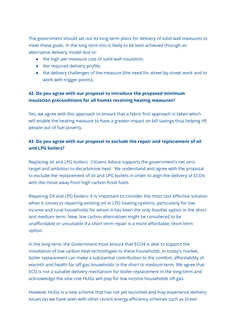The government should set out its long-term plans for delivery of solid wall measures to meet these goals. In the long term this is likely to be best achieved through an alternative delivery model due to:

- the high per-measure cost of solid wall insulation,
- the required delivery profile,
- the delivery challenges of the measure (the need for street-by-street work and to work with trigger points).

#### **42. Do you agree with our proposal to introduce the proposed minimum insulation preconditions for all homes receiving heating measures?**

Yes, we agree with this approach to ensure that a fabric first approach is taken which will enable the heating measure to have a greater impact on bill savings thus helping lift people out of fuel poverty.

#### **43. Do you agree with our proposal to exclude the repair and replacement of oil and LPG boilers?**

Replacing oil and LPG boilers: Citizens Advice supports the government's net zero target and ambition to decarbonise heat. We understand and agree with the proposal to exclude the replacement of oil and LPG boilers in order to align the delivery of ECO4 with the move away from high carbon fossil fuels.

Repairing Oil and LPG boilers: It is important to consider the most cost effective solution when it comes to repairing existing oil or LPG heating systems, particularly for low income and rural households for whom it has been the only feasible option in the short and medium term. New, low carbon alternatives might be considered to be unaffordable or unsuitable if a short term repair is a more affordable, short term option.

In the long term, the Government must ensure that ECO4 is able to support the installation of low carbon heat technologies to these households. In today's market, boiler replacement can make a substantial contribution to the comfort, affordability of warmth and health for off-gas households in the short to medium-term. We agree that ECO is not a suitable delivery mechanism for boiler replacement in the long-term and acknowledge the vital role HUGs will play for low income households off-gas.

However HUGs is a new scheme that has not yet launched and may experience delivery issues (as we have seen with other recent energy efficiency schemes such as Green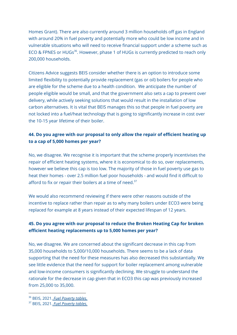Homes Grant). There are also currently around 3 million households off gas in England with around 20% in fuel poverty and potentially more who could be low income and in vulnerable situations who will need to receive financial support under a scheme such as ECO & FPNES or HUGs<sup>36</sup>. However, phase 1 of HUGs is currently predicted to reach only 200,000 households.

Citizens Advice suggests BEIS consider whether there is an option to introduce some limited flexibility to potentially provide replacement (gas or oil) boilers for people who are eligible for the scheme due to a health condition. We anticipate the number of people eligible would be small, and that the government also sets a cap to prevent over delivery, while actively seeking solutions that would result in the installation of low carbon alternatives. It is vital that BEIS manages this so that people in fuel poverty are not locked into a fuel/heat technology that is going to significantly increase in cost over the 10-15 year lifetime of their boiler.

## **44. Do you agree with our proposal to only allow the repair of efficient heating up to a cap of 5,000 homes per year?**

No, we disagree. We recognise it is important that the scheme properly incentivises the repair of efficient heating systems, where it is economical to do so, over replacements, however we believe this cap is too low. The majority of those in fuel poverty use gas to heat their homes - over 2.5 million fuel poor households - and would find it difficult to afford to fix or repair their boilers at a time of need. $37$ 

We would also recommend reviewing if there were other reasons outside of the incentive to replace rather than repair as to why many boilers under ECO3 were being replaced for example at 8 years instead of their expected lifespan of 12 years.

# **45. Do you agree with our proposal to reduce the Broken Heating Cap for broken efficient heating replacements up to 5,000 homes per year?**

No, we disagree. We are concerned about the significant decrease in this cap from 35,000 households to 5,000/10,000 households. There seems to be a lack of data supporting that the need for these measures has also decreased this substantially. We see little evidence that the need for support for boiler replacement among vulnerable and low-income consumers is significantly declining. We struggle to understand the rationale for the decrease in cap given that in ECO3 this cap was previously increased from 25,000 to 35,000.

<sup>36</sup> BEIS, 2021. *Fuel [Poverty](https://www.gov.uk/government/statistics/fuel-poverty-detailed-tables-2021) tables.*

<sup>37</sup> BEIS, 2021. *Fuel [Poverty](https://www.gov.uk/government/statistics/fuel-poverty-detailed-tables-2021) tables.*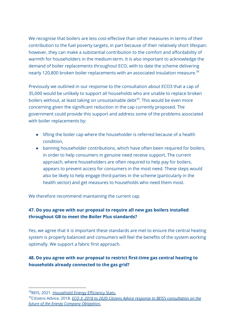We recognise that boilers are less cost-effective than other measures in terms of their contribution to the fuel poverty targets, in part because of their relatively short lifespan: however, they can make a substantial contribution to the comfort and affordability of warmth for householders in the medium-term. It is also important to acknowledge the demand of boiler replacements throughout ECO, with to date the scheme delivering nearly 120,800 broken boiler replacements with an associated insulation measure.<sup>38</sup>

Previously we outlined in our response to the consultation about ECO3 that a cap of 35,000 would be unlikely to support all households who are unable to replace broken boilers without, at least taking on unsustainable debt<sup>39</sup>. This would be even more concerning given the significant reduction in the cap currently proposed. The government could provide this support and address some of the problems associated with boiler replacements by:

- lifting the boiler cap where the householder is referred because of a health condition,
- banning householder contributions, which have often been required for boilers, in order to help consumers in genuine need receive support. The current approach, where householders are often required to help pay for boilers, appears to prevent access for consumers in the most need. These steps would also be likely to help engage third-parties in the scheme (particularly in the health sector) and get measures to households who need them most.

We therefore recommend maintaining the current cap.

# **47. Do you agree with our proposal to require all new gas boilers installed throughout GB to meet the Boiler Plus standards?**

Yes, we agree that it is important these standards are met to ensure the central heating system is properly balanced and consumers will feel the benefits of the system working optimally. We support a fabric first approach.

# **48. Do you agree with our proposal to restrict first-time gas central heating to households already connected to the gas grid?**

<sup>38</sup>BEIS, 2021. [Household](https://assets.publishing.service.gov.uk/government/uploads/system/uploads/attachment_data/file/1012948/HEE_Stats_Release_-_Final_-_Aug_21.pdf) Energy Efficiency Stats.

<sup>39</sup>Citizens Advice, 2018. *ECO 3: 2018 to 2020 Citizens Advice response to BEIS's [consultation](https://www.citizensadvice.org.uk/Global/CitizensAdvice/Energy/Energy%20Consultation%20responses/ECO%202018-2022%20consultation%20-%20Citizens%20Advice%20response.pdf) on the future of the Energy Company [Obligation.](https://www.citizensadvice.org.uk/Global/CitizensAdvice/Energy/Energy%20Consultation%20responses/ECO%202018-2022%20consultation%20-%20Citizens%20Advice%20response.pdf)*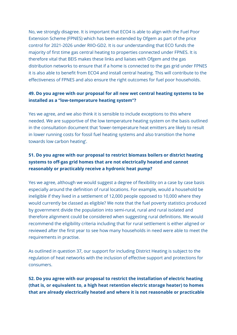No, we strongly disagree. It is important that ECO4 is able to align with the Fuel Poor Extension Scheme (FPNES) which has been extended by Ofgem as part of the price control for 2021-2026 under RIIO-GD2. It is our understanding that ECO funds the majority of first time gas central heating to properties connected under FPNES. It is therefore vital that BEIS makes these links and liaises with Ofgem and the gas distribution networks to ensure that if a home is connected to the gas grid under FPNES it is also able to benefit from ECO4 and install central heating. This will contribute to the effectiveness of FPNES and also ensure the right outcomes for fuel poor households.

#### **49. Do you agree with our proposal for all new wet central heating systems to be installed as a "low-temperature heating system"?**

Yes we agree, and we also think it is sensible to include exceptions to this where needed. We are supportive of the low temperature heating system on the basis outlined in the consultation document that 'lower-temperature heat emitters are likely to result in lower running costs for fossil fuel heating systems and also transition the home towards low carbon heating'.

# **51. Do you agree with our proposal to restrict biomass boilers or district heating systems to off-gas grid homes that are not electrically heated and cannot reasonably or practicably receive a hydronic heat pump?**

Yes we agree, although we would suggest a degree of flexibility on a case by case basis especially around the definition of rural locations. For example, would a household be ineligible if they lived in a settlement of 12,000 people opposed to 10,000 where they would currently be classed as eligible? We note that the fuel poverty statistics produced by government divide the population into semi-rural, rural and rural isolated and therefore alignment could be considered when suggesting rural definitions. We would recommend the eligibility criteria including that for rural settlement is either aligned or reviewed after the first year to see how many households in need were able to meet the requirements in practise.

As outlined in question 37, our support for including District Heating is subject to the regulation of heat networks with the inclusion of effective support and protections for consumers.

**52. Do you agree with our proposal to restrict the installation of electric heating (that is, or equivalent to, a high heat retention electric storage heater) to homes that are already electrically heated and where it is not reasonable or practicable**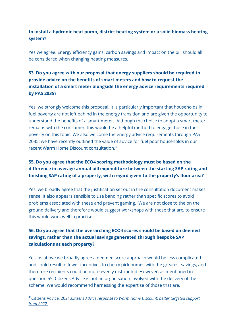# **to install a hydronic heat pump, district heating system or a solid biomass heating system?**

Yes we agree. Energy efficiency gains, carbon savings and impact on the bill should all be considered when changing heating measures.

# **53. Do you agree with our proposal that energy suppliers should be required to provide advice on the benefits of smart meters and how to request the installation of a smart meter alongside the energy advice requirements required by PAS 2035?**

Yes, we strongly welcome this proposal. It is particularly important that households in fuel poverty are not left behind in the energy transition and are given the opportunity to understand the benefits of a smart meter. Although the choice to adopt a smart meter remains with the consumer, this would be a helpful method to engage those in fuel poverty on this topic. We also welcome the energy advice requirements through PAS 2035; we have recently outlined the value of advice for fuel poor households in our recent Warm Home Discount consultation. 40

# **55. Do you agree that the ECO4 scoring methodology must be based on the difference in average annual bill expenditure between the starting SAP rating and finishing SAP rating of a property, with regard given to the property's floor area?**

Yes, we broadly agree that the justification set out in the consultation document makes sense. It also appears sensible to use banding rather than specific scores to avoid problems associated with these and prevent gaming. We are not close to the on the ground delivery and therefore would suggest workshops with those that are, to ensure this would work well in practise.

# **56. Do you agree that the overarching ECO4 scores should be based on deemed savings, rather than the actual savings generated through bespoke SAP calculations at each property?**

Yes, as above we broadly agree a deemed score approach would be less complicated and could result in fewer incentives to cherry pick homes with the greatest savings, and therefore recipients could be more evenly distributed. However, as mentioned in question 55, Citizens Advice is not an organisation involved with the delivery of the scheme. We would recommend harnessing the expertise of those that are.

<sup>40</sup>Citizens Advice, 2021.*Citizens Advice response to Warm Home [Discount:](https://www.citizensadvice.org.uk/about-us/our-work/policy/policy-research-topics/energy-policy-research-and-consultation-responses/energy-consultation-responses/citizens-advice-response-to-warm-home-discount-better-targeted-support-from-2022/) better targeted support from [2022.](https://www.citizensadvice.org.uk/about-us/our-work/policy/policy-research-topics/energy-policy-research-and-consultation-responses/energy-consultation-responses/citizens-advice-response-to-warm-home-discount-better-targeted-support-from-2022/)*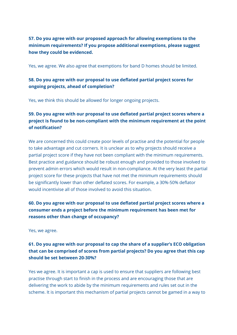# **57. Do you agree with our proposed approach for allowing exemptions to the minimum requirements? If you propose additional exemptions, please suggest how they could be evidenced.**

Yes, we agree. We also agree that exemptions for band D homes should be limited.

## **58. Do you agree with our proposal to use deflated partial project scores for ongoing projects, ahead of completion?**

Yes, we think this should be allowed for longer ongoing projects.

# **59. Do you agree with our proposal to use deflated partial project scores where a project is found to be non-compliant with the minimum requirement at the point of notification?**

We are concerned this could create poor levels of practise and the potential for people to take advantage and cut corners. It is unclear as to why projects should receive a partial project score if they have not been compliant with the minimum requirements. Best practice and guidance should be robust enough and provided to those involved to prevent admin errors which would result in non-compliance. At the very least the partial project score for these projects that have not met the minimum requirements should be significantly lower than other deflated scores. For example, a 30%-50% deflator would incentivise all of those involved to avoid this situation.

# **60. Do you agree with our proposal to use deflated partial project scores where a consumer ends a project before the minimum requirement has been met for reasons other than change of occupancy?**

Yes, we agree.

# **61. Do you agree with our proposal to cap the share of a supplier's ECO obligation that can be comprised of scores from partial projects? Do you agree that this cap should be set between 20-30%?**

Yes we agree. It is important a cap is used to ensure that suppliers are following best practise through start to finish in the process and are encouraging those that are delivering the work to abide by the minimum requirements and rules set out in the scheme. It is important this mechanism of partial projects cannot be gamed in a way to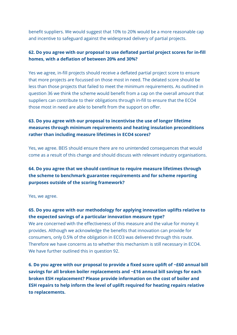benefit suppliers. We would suggest that 10% to 20% would be a more reasonable cap and incentive to safeguard against the widespread delivery of partial projects.

#### **62. Do you agree with our proposal to use deflated partial project scores for in-fill homes, with a deflation of between 20% and 30%?**

Yes we agree, in-fill projects should receive a deflated partial project score to ensure that more projects are focussed on those most in need. The delated score should be less than those projects that failed to meet the minimum requirements. As outlined in question 36 we think the scheme would benefit from a cap on the overall amount that suppliers can contribute to their obligations through in-fill to ensure that the ECO4 those most in need are able to benefit from the support on offer.

# **63. Do you agree with our proposal to incentivise the use of longer lifetime measures through minimum requirements and heating insulation preconditions rather than including measure lifetimes in ECO4 scores?**

Yes, we agree. BEIS should ensure there are no unintended consequences that would come as a result of this change and should discuss with relevant industry organisations.

# **64. Do you agree that we should continue to require measure lifetimes through the scheme to benchmark guarantee requirements and for scheme reporting purposes outside of the scoring framework?**

Yes, we agree.

# **65. Do you agree with our methodology for applying innovation uplifts relative to the expected savings of a particular innovation measure type?**

We are concerned with the effectiveness of this measure and the value for money it provides. Although we acknowledge the benefits that innovation can provide for consumers, only 0.5% of the obligation in ECO3 was delivered through this route. Therefore we have concerns as to whether this mechanism is still necessary in ECO4. We have further outlined this in question 92.

**6. Do you agree with our proposal to provide a fixed score uplift of ~£60 annual bill savings for all broken boiler replacements and ~£16 annual bill savings for each broken ESH replacement? Please provide information on the cost of boiler and ESH repairs to help inform the level of uplift required for heating repairs relative to replacements.**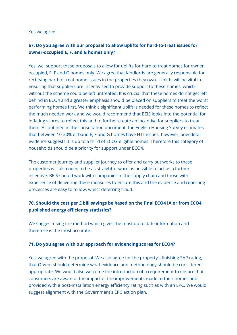Yes we agree.

## **67. Do you agree with our proposal to allow uplifts for hard-to-treat issues for owner-occupied E, F, and G homes only?**

Yes, we support these proposals to allow for uplifts for hard to treat homes for owner occupied, E, F and G homes only. We agree that landlords are generally responsible for rectifying hard to treat home issues in the properties they own. Uplifts will be vital in ensuring that suppliers are incentivised to provide support to these homes, which without the scheme could be left untreated. It is crucial that these homes do not get left behind in ECO4 and a greater emphasis should be placed on suppliers to treat the worst performing homes first. We think a significant uplift is needed for these homes to reflect the much needed work and we would recommend that BEIS looks into the potential for inflating scores to reflect this and to further create an incentive for suppliers to treat them. As outlined in the consultation document, the English Housing Survey estimates that between 10-20% of band E, F and G homes have HTT issues, however, anecdotal evidence suggests it is up to a third of ECO3-eligible homes. Therefore this category of households should be a priority for support under ECO4.

The customer journey and supplier journey to offer and carry out works to these properties will also need to be as straightforward as possible to act as a further incentive. BEIS should work with companies in the supply chain and those with experience of delivering these measures to ensure this and the evidence and reporting processes are easy to follow, whilst deterring fraud.

#### **70. Should the cost per £ bill savings be based on the final ECO4 IA or from ECO4 published energy efficiency statistics?**

We suggest using the method which gives the most up to date information and therefore is the most accurate.

#### **71. Do you agree with our approach for evidencing scores for ECO4?**

Yes, we agree with the proposal. We also agree for the property's finishing SAP rating, that Ofgem should determine what evidence and methodology should be considered appropriate. We would also welcome the introduction of a requirement to ensure that consumers are aware of the impact of the improvements made to their homes and provided with a post-installation energy efficiency rating such as with an EPC. We would suggest alignment with the Government's EPC action plan.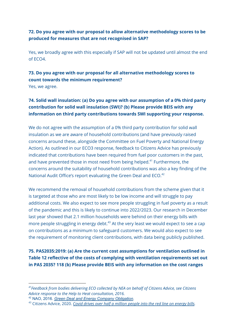#### **72. Do you agree with our proposal to allow alternative methodology scores to be produced for measures that are not recognised in SAP?**

Yes, we broadly agree with this especially if SAP will not be updated until almost the end of ECO4.

# **73. Do you agree with our proposal for all alternative methodology scores to count towards the minimum requirement?**

Yes, we agree.

# **74. Solid wall insulation: (a) Do you agree with our assumption of a 0% third party contribution for solid wall insulation (SWI)? (b) Please provide BEIS with any information on third party contributions towards SWI supporting your response.**

We do not agree with the assumption of a 0% third party contribution for solid wall insulation as we are aware of household contributions (and have previously raised concerns around these, alongside the Committee on Fuel Poverty and National Energy Action). As outlined in our ECO3 response, feedback to Citizens Advice has previously indicated that contributions have been required from fuel poor customers in the past, and have prevented those in most need from being helped.<sup>41</sup> Furthermore, the concerns around the suitability of household contributions was also a key finding of the National Audit Office's report evaluating the Green Deal and ECO.<sup>42</sup>

We recommend the removal of household contributions from the scheme given that it is targeted at those who are most likely to be low income and will struggle to pay additional costs. We also expect to see more people struggling in fuel poverty as a result of the pandemic and this is likely to continue into 2022/2023. Our research in December last year showed that 2.1 million households were behind on their energy bills with more people struggling in energy debt.<sup>43</sup> At the very least we would expect to see a cap on contributions as a minimum to safeguard customers. We would also expect to see the requirement of monitoring client contributions, with data being publicly published.

**75. PAS2035:2019: (a) Are the current cost assumptions for ventilation outlined in Table 12 reflective of the costs of complying with ventilation requirements set out in PAS 2035? 118 (b) Please provide BEIS with any information on the cost ranges**

*<sup>41</sup>Feedback from bodies delivering ECO collected by NEA on behalf of Citizens Advice, see Citizens Advice response to the Help to Heat consultation, 2016.*

<sup>42</sup> NAO, 2016. *Green Deal and Energy Company [Obligation.](https://www.nao.org.uk/report/green-deal-and-energy-company-obligation/)*

<sup>43</sup> Citizens Advice, 2020. *Covid drives over half a [million](https://www.citizensadvice.org.uk/about-us/about-us1/media/press-releases/covid-drives-over-half-a-million-people-into-the-red-on-energy-bills/) people into the red line on energy bills.*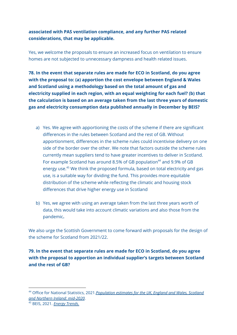## **associated with PAS ventilation compliance, and any further PAS related considerations, that may be applicable.**

Yes, we welcome the proposals to ensure an increased focus on ventilation to ensure homes are not subjected to unnecessary dampness and health related issues.

**78. In the event that separate rules are made for ECO in Scotland, do you agree with the proposal to: (a) apportion the cost envelope between England & Wales and Scotland using a methodology based on the total amount of gas and electricity supplied in each region, with an equal weighting for each fuel? (b) that the calculation is based on an average taken from the last three years of domestic gas and electricity consumption data published annually in December by BEIS?**

- a) Yes. We agree with apportioning the costs of the scheme if there are significant differences in the rules between Scotland and the rest of GB. Without apportionment, differences in the scheme rules could incentivise delivery on one side of the border over the other. We note that factors outside the scheme rules currently mean suppliers tend to have greater incentives to deliver in Scotland. For example Scotland has around 8.5% of GB population<sup>44</sup> and 9.9% of GB energy use. <sup>45</sup> We think the proposed formula, based on total electricity and gas use, is a suitable way for dividing the fund. This provides more equitable distribution of the scheme while reflecting the climatic and housing stock differences that drive higher energy use in Scotland
- b) Yes, we agree with using an average taken from the last three years worth of data, this would take into account climatic variations and also those from the pandemic**.**

We also urge the Scottish Government to come forward with proposals for the design of the scheme for Scotland from 2021/22.

**79. In the event that separate rules are made for ECO in Scotland, do you agree with the proposal to apportion an individual supplier's targets between Scotland and the rest of GB?**

<sup>44</sup> Office for National Statistics, 2021.*[Population](https://www.ons.gov.uk/peoplepopulationandcommunity/populationandmigration/populationestimates/bulletins/annualmidyearpopulationestimates/mid2020#the-uk-population-at-mid-2020) estimates for the UK, England and Wales, Scotland and Northern Ireland: [mid-2020](https://www.ons.gov.uk/peoplepopulationandcommunity/populationandmigration/populationestimates/bulletins/annualmidyearpopulationestimates/mid2020#the-uk-population-at-mid-2020)*.

<sup>45</sup> BEIS, 2021. *Energy [Trends.](https://www.gov.uk/government/collections/energy-trends-articles#special-feature-articles-2021)*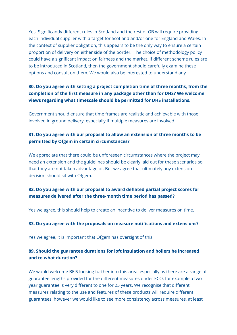Yes. Significantly different rules in Scotland and the rest of GB will require providing each individual supplier with a target for Scotland and/or one for England and Wales. In the context of supplier obligation, this appears to be the only way to ensure a certain proportion of delivery on either side of the border. The choice of methodology policy could have a significant impact on fairness and the market. If different scheme rules are to be introduced in Scotland, then the government should carefully examine these options and consult on them. We would also be interested to understand any

#### **80. Do you agree with setting a project completion time of three months, from the completion of the first measure in any package other than for DHS? We welcome views regarding what timescale should be permitted for DHS installations.**

Government should ensure that time frames are realistic and achievable with those involved in ground delivery, especially if multiple measures are involved.

#### **81. Do you agree with our proposal to allow an extension of three months to be permitted by Ofgem in certain circumstances?**

We appreciate that there could be unforeseen circumstances where the project may need an extension and the guidelines should be clearly laid out for these scenarios so that they are not taken advantage of. But we agree that ultimately any extension decision should sit with Ofgem.

#### **82. Do you agree with our proposal to award deflated partial project scores for measures delivered after the three-month time period has passed?**

Yes we agree, this should help to create an incentive to deliver measures on time.

#### **83. Do you agree with the proposals on measure notifications and extensions?**

Yes we agree, it is important that Ofgem has oversight of this.

#### **89. Should the guarantee durations for loft insulation and boilers be increased and to what duration?**

We would welcome BEIS looking further into this area, especially as there are a range of guarantee lengths provided for the different measures under ECO, for example a two year guarantee is very different to one for 25 years. We recognise that different measures relating to the use and features of these products will require different guarantees, however we would like to see more consistency across measures, at least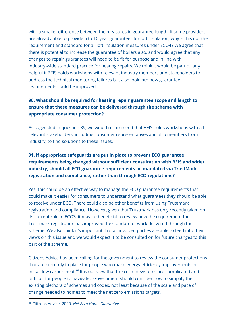with a smaller difference between the measures in guarantee length. If some providers are already able to provide 6 to 10 year guarantees for loft insulation, why is this not the requirement and standard for all loft insulation measures under ECO4? We agree that there is potential to increase the guarantee of boilers also, and would agree that any changes to repair guarantees will need to be fit for purpose and in line with industry-wide standard practice for heating repairs. We think it would be particularly helpful if BEIS holds workshops with relevant industry members and stakeholders to address the technical monitoring failures but also look into how guarantee requirements could be improved.

# **90. What should be required for heating repair guarantee scope and length to ensure that these measures can be delivered through the scheme with appropriate consumer protection?**

As suggested in question 89, we would recommend that BEIS holds workshops with all relevant stakeholders, including consumer representatives and also members from industry, to find solutions to these issues.

# **91. If appropriate safeguards are put in place to prevent ECO guarantee requirements being changed without sufficient consultation with BEIS and wider industry, should all ECO guarantee requirements be mandated via TrustMark registration and compliance, rather than through ECO regulations?**

Yes, this could be an effective way to manage the ECO guarantee requirements that could make it easier for consumers to understand what guarantees they should be able to receive under ECO. There could also be other benefits from using Trustmark registration and compliance. However, given that Trustmark has only recently taken on its current role in ECO3, it may be beneficial to review how the requirement for Trustmark registration has improved the standard of work delivered through the scheme. We also think it's important that all involved parties are able to feed into their views on this issue and we would expect it to be consulted on for future changes to this part of the scheme.

Citizens Advice has been calling for the government to review the consumer protections that are currently in place for people who make energy efficiency improvements or install low carbon heat.<sup>46</sup> It is our view that the current systems are complicated and difficult for people to navigate. Government should consider how to simplify the existing plethora of schemes and codes, not least because of the scale and pace of change needed to homes to meet the net zero emissions targets.

<sup>46</sup> Citizens Advice, 2020. *Net Zero Home [Guarantee.](https://www.citizensadvice.org.uk/about-us/our-work/policy/policy-research-topics/energy-policy-research-and-consultation-responses/energy-policy-research/net-zero-homes-guarantee1/)*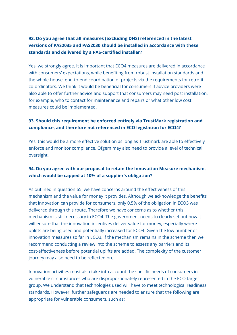# **92. Do you agree that all measures (excluding DHS) referenced in the latest versions of PAS2035 and PAS2030 should be installed in accordance with these standards and delivered by a PAS-certified installer?**

Yes, we strongly agree. It is important that ECO4 measures are delivered in accordance with consumers' expectations, while benefiting from robust installation standards and the whole-house, end-to-end coordination of projects via the requirements for retrofit co-ordinators. We think it would be beneficial for consumers if advice providers were also able to offer further advice and support that consumers may need post installation, for example, who to contact for maintenance and repairs or what other low cost measures could be implemented.

#### **93. Should this requirement be enforced entirely via TrustMark registration and compliance, and therefore not referenced in ECO legislation for ECO4?**

Yes, this would be a more effective solution as long as Trustmark are able to effectively enforce and monitor compliance. Ofgem may also need to provide a level of technical oversight.

#### **94. Do you agree with our proposal to retain the Innovation Measure mechanism, which would be capped at 10% of a supplier's obligation?**

As outlined in question 65, we have concerns around the effectiveness of this mechanism and the value for money it provides. Although we acknowledge the benefits that innovation can provide for consumers, only 0.5% of the obligation in ECO3 was delivered through this route. Therefore we have concerns as to whether this mechanism is still necessary in ECO4. The government needs to clearly set out how it will ensure that the innovation incentives deliver value for money, especially where uplifts are being used and potentially increased for ECO4. Given the low number of innovation measures so far in ECO3, if the mechanism remains in the scheme then we recommend conducting a review into the scheme to assess any barriers and its cost-effectiveness before potential uplifts are added. The complexity of the customer journey may also need to be reflected on.

Innovation activities must also take into account the specific needs of consumers in vulnerable circumstances who are disproportionately represented in the ECO target group. We understand that technologies used will have to meet technological readiness standards. However, further safeguards are needed to ensure that the following are appropriate for vulnerable consumers, such as: